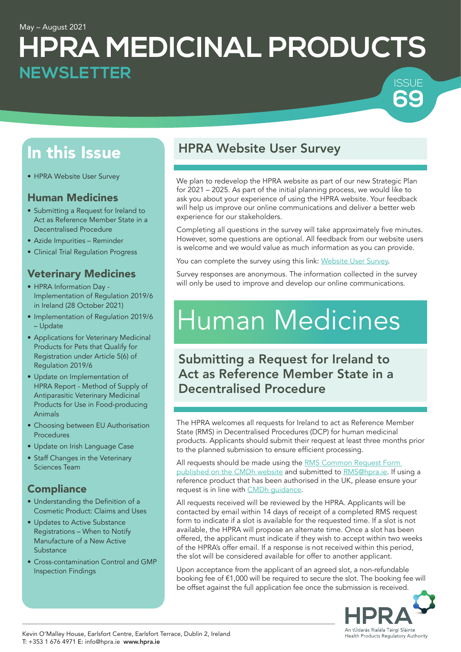#### May – August 2021

# **HPRA MEDICINAL PRODUCTS SSUE NEWSLETTER**

# In this Issue

• HPRA Website User Survey

### Human Medicines

- Submitting a Request for Ireland to Act as Reference Member State in a Decentralised Procedure
- Azide Impurities Reminder
- Clinical Trial Regulation Progress

## Veterinary Medicines

- HPRA Information Day Implementation of Regulation 2019/6 in Ireland (28 October 2021)
- Implementation of Regulation 2019/6 – Update
- Applications for Veterinary Medicinal Products for Pets that Qualify for Registration under Article 5(6) of Regulation 2019/6
- Update on Implementation of HPRA Report - Method of Supply of Antiparasitic Veterinary Medicinal Products for Use in Food-producing Animals
- Choosing between EU Authorisation Procedures
- Update on Irish Language Case
- Staff Changes in the Veterinary Sciences Team

## **Compliance**

- Understanding the Definition of a Cosmetic Product: Claims and Uses
- Updates to Active Substance Registrations – When to Notify Manufacture of a New Active **Substance**
- Cross-contamination Control and GMP Inspection Findings

# HPRA Website User Survey

We plan to redevelop the HPRA website as part of our new Strategic Plan for 2021 – 2025. As part of the initial planning process, we would like to ask you about your experience of using the HPRA website. Your feedback will help us improve our online communications and deliver a better web experience for our stakeholders.

Completing all questions in the survey will take approximately five minutes. However, some questions are optional. All feedback from our website users is welcome and we would value as much information as you can provide.

You can complete the survey using this link: [Website User Survey.](https://www.surveymonkey.com/r/HPRAwebsite)

Survey responses are anonymous. The information collected in the survey will only be used to improve and develop our online communications.

# Human Medicines

Submitting a Request for Ireland to Act as Reference Member State in a Decentralised Procedure

The HPRA welcomes all requests for Ireland to act as Reference Member State (RMS) in Decentralised Procedures (DCP) for human medicinal products. Applicants should submit their request at least three months prior to the planned submission to ensure efficient processing.

All requests should be made using the RMS Common Request Form [published on the CMDh website](https://www.hma.eu/219.html) and submitted to [RMS@hpra.ie.](mailto:RMS%40hpra.ie?subject=) If using a reference product that has been authorised in the UK, please ensure your request is in line with [CMDh guidance](https://www.hma.eu/fileadmin/dateien/Human_Medicines/CMD_h_/BREXIT/CMDh_373_2018_Rev.8_04_2021_clean_-_Brexit_PG.pdf).

All requests received will be reviewed by the HPRA. Applicants will be contacted by email within 14 days of receipt of a completed RMS request form to indicate if a slot is available for the requested time. If a slot is not available, the HPRA will propose an alternate time. Once a slot has been offered, the applicant must indicate if they wish to accept within two weeks of the HPRA's offer email. If a response is not received within this period, the slot will be considered available for offer to another applicant.

Upon acceptance from the applicant of an agreed slot, a non-refundable booking fee of €1,000 will be required to secure the slot. The booking fee will be offset against the full application fee once the submission is received.



**69**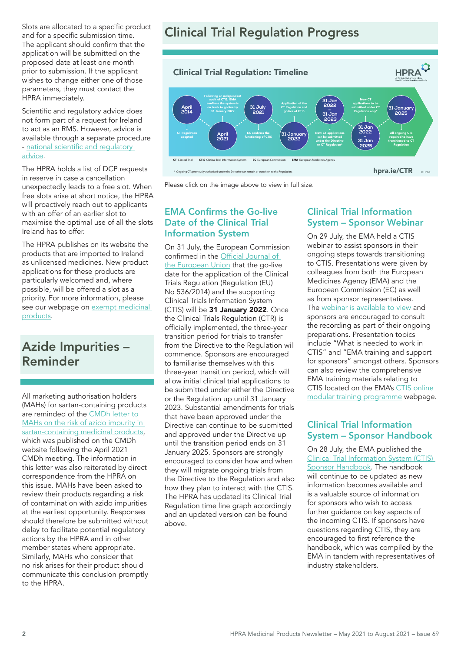Slots are allocated to a specific product and for a specific submission time. The applicant should confirm that the application will be submitted on the proposed date at least one month prior to submission. If the applicant wishes to change either one of those parameters, they must contact the HPRA immediately.

Scientific and regulatory advice does not form part of a request for Ireland to act as an RMS. However, advice is available through a separate procedure - national scientific and [regulatory](https://www.hpra.ie/homepage/medicines/regulatory-information/national-scientific-and-regulatory-advice) [advice.](https://www.hpra.ie/homepage/medicines/regulatory-information/national-scientific-and-regulatory-advice)

The HPRA holds a list of DCP requests in reserve in case a cancellation unexpectedly leads to a free slot. When free slots arise at short notice, the HPRA will proactively reach out to applicants with an offer of an earlier slot to maximise the optimal use of all the slots Ireland has to offer.

The HPRA publishes on its website the products that are imported to Ireland as unlicensed medicines. New product applications for these products are particularly welcomed and, where possible, will be offered a slot as a priority. For more information, please see our webpage on exempt medicinal [products.](https://www.hpra.ie/homepage/medicines/regulatory-information/medicines-authorisation/notification-system-for-exempt-(unauthorised)-products)

# Azide Impurities – Reminder

All marketing authorisation holders (MAHs) for sartan-containing products are reminded of the [CMDh letter to](https://www.hma.eu/fileadmin/dateien/Human_Medicines/CMD_h_/Advice_from_CMDh/CMDh_430_2021_Rev.0_2021_04_Request_for_investigation_Sartans-Azido_impurity_in_irbesartan_confirmed_positive_in_bacterial_mutagenicity_tests.pdf)  [MAHs on the risk of azido impurity in](https://www.hma.eu/fileadmin/dateien/Human_Medicines/CMD_h_/Advice_from_CMDh/CMDh_430_2021_Rev.0_2021_04_Request_for_investigation_Sartans-Azido_impurity_in_irbesartan_confirmed_positive_in_bacterial_mutagenicity_tests.pdf)  [sartan-containing medicinal products](https://www.hma.eu/fileadmin/dateien/Human_Medicines/CMD_h_/Advice_from_CMDh/CMDh_430_2021_Rev.0_2021_04_Request_for_investigation_Sartans-Azido_impurity_in_irbesartan_confirmed_positive_in_bacterial_mutagenicity_tests.pdf), which was published on the CMDh website following the April 2021 CMDh meeting. The information in this letter was also reiterated by direct correspondence from the HPRA on this issue. MAHs have been asked to review their products regarding a risk of contamination with azido impurities at the earliest opportunity. Responses should therefore be submitted without delay to facilitate potential regulatory actions by the HPRA and in other member states where appropriate. Similarly, MAHs who consider that no risk arises for their product should communicate this conclusion promptly to the HPRA.

# Clinical Trial Regulation Progress



Please click on the image above to view in full size.

#### EMA Confirms the Go-live Date of the Clinical Trial Information System

On 31 July, the European Commission confirmed in the Official [Journal](https://eur-lex.europa.eu/legal-content/EN/TXT/?uri=CELEX%3A32021D1240&qid=1627892556638) of [the European Union](https://eur-lex.europa.eu/legal-content/EN/TXT/?uri=CELEX%3A32021D1240&qid=1627892556638) that the go-live date for the application of the Clinical Trials Regulation (Regulation (EU) No 536/2014) and the supporting Clinical Trials Information System (CTIS) will be 31 January 2022. Once the Clinical Trials Regulation (CTR) is officially implemented, the three-year transition period for trials to transfer from the Directive to the Regulation will commence. Sponsors are encouraged to familiarise themselves with this three-year transition period, which will allow initial clinical trial applications to be submitted under either the Directive or the Regulation up until 31 January 2023. Substantial amendments for trials that have been approved under the Directive can continue to be submitted and approved under the Directive up until the transition period ends on 31 January 2025. Sponsors are strongly encouraged to consider how and when they will migrate ongoing trials from the Directive to the Regulation and also how they plan to interact with the CTIS. The HPRA has updated its Clinical Trial Regulation time line graph accordingly and an updated version can be found above.

### Clinical Trial Information System – Sponsor Webinar

On 29 July, the EMA held a CTIS webinar to assist sponsors in their ongoing steps towards transitioning to CTIS. Presentations were given by colleagues from both the European Medicines Agency (EMA) and the European Commission (EC) as well as from sponsor representatives. The [webinar is available to view](https://www.ema.europa.eu/en/events/clinical-trials-information-system-ctis-webinar-how-sponsor-organisations-can-prepare-ctis) and sponsors are encouraged to consult the recording as part of their ongoing preparations. Presentation topics include "What is needed to work in CTIS" and "EMA training and support for sponsors" amongst others. Sponsors can also review the comprehensive EMA training materials relating to CTIS located on the EMA's CTIS online [modular training programme](https://www.ema.europa.eu/en/human-regulatory/research-development/clinical-trials/clinical-trials-information-system-ctis-online-modular-training-programme) webpage.

### Clinical Trial Information System – Sponsor Handbook

On 28 July, the EMA published the [Clinical Trial Information System \(CTIS\)](https://www.ema.europa.eu/en/documents/other/clinical-trial-information-system-ctis-sponsor-handbook_en.pdf)  [Sponsor Handbook.](https://www.ema.europa.eu/en/documents/other/clinical-trial-information-system-ctis-sponsor-handbook_en.pdf) The handbook will continue to be updated as new information becomes available and is a valuable source of information for sponsors who wish to access further guidance on key aspects of the incoming CTIS. If sponsors have questions regarding CTIS, they are encouraged to first reference the handbook, which was compiled by the EMA in tandem with representatives of industry stakeholders.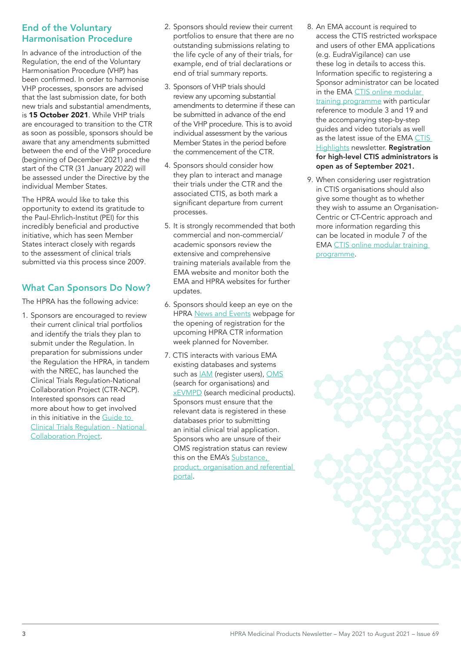#### End of the Voluntary Harmonisation Procedure

In advance of the introduction of the Regulation, the end of the Voluntary Harmonisation Procedure (VHP) has been confirmed. In order to harmonise VHP processes, sponsors are advised that the last submission date, for both new trials and substantial amendments, is 15 October 2021. While VHP trials are encouraged to transition to the CTR as soon as possible, sponsors should be aware that any amendments submitted between the end of the VHP procedure (beginning of December 2021) and the start of the CTR (31 January 2022) will be assessed under the Directive by the individual Member States.

The HPRA would like to take this opportunity to extend its gratitude to the Paul-Ehrlich-Institut (PEI) for this incredibly beneficial and productive initiative, which has seen Member States interact closely with regards to the assessment of clinical trials submitted via this process since 2009.

## What Can Sponsors Do Now?

The HPRA has the following advice:

1. Sponsors are encouraged to review their current clinical trial portfolios and identify the trials they plan to submit under the Regulation. In preparation for submissions under the Regulation the HPRA, in tandem with the NREC, has launched the Clinical Trials Regulation-National Collaboration Project (CTR-NCP). Interested sponsors can read more about how to get involved in this initiative in the [Guide to](https://www.hpra.ie/docs/default-source/publications-forms/guidance-documents/guide-to-clinical-trials-regulation-national-collaboration-project.pdf?sfvrsn=8)  [Clinical Trials Regulation - National](https://www.hpra.ie/docs/default-source/publications-forms/guidance-documents/guide-to-clinical-trials-regulation-national-collaboration-project.pdf?sfvrsn=8)  [Collaboration Project](https://www.hpra.ie/docs/default-source/publications-forms/guidance-documents/guide-to-clinical-trials-regulation-national-collaboration-project.pdf?sfvrsn=8).

- 2. Sponsors should review their current portfolios to ensure that there are no outstanding submissions relating to the life cycle of any of their trials, for example, end of trial declarations or end of trial summary reports.
- 3. Sponsors of VHP trials should review any upcoming substantial amendments to determine if these can be submitted in advance of the end of the VHP procedure. This is to avoid individual assessment by the various Member States in the period before the commencement of the CTR.
- 4. Sponsors should consider how they plan to interact and manage their trials under the CTR and the associated CTIS, as both mark a significant departure from current processes.
- 5. It is strongly recommended that both commercial and non-commercial/ academic sponsors review the extensive and comprehensive training materials available from the EMA website and monitor both the EMA and HPRA websites for further updates.
- 6. Sponsors should keep an eye on the HPRA [News and Events](https://www.hpra.ie/homepage/about-us/news-and-events) webpage for the opening of registration for the upcoming HPRA CTR information week planned for November.
- 7. CTIS interacts with various EMA existing databases and systems such as **IAM** (register users), [OMS](https://www.ema.europa.eu/en/human-regulatory/research-development/data-medicines-iso-idmp-standards/spor-master-data/organisation-management-service-oms) (search for organisations) and **xEVMPD** (search medicinal products). Sponsors must ensure that the relevant data is registered in these databases prior to submitting an initial clinical trial application. Sponsors who are unsure of their OMS registration status can review this on the EMA's Substance, [product, organisation and referential](https://spor.ema.europa.eu/sporwi/)  [portal.](https://spor.ema.europa.eu/sporwi/)
- 8. An EMA account is required to access the CTIS restricted workspace and users of other EMA applications (e.g. EudraVigilance) can use these log in details to access this. Information specific to registering a Sponsor administrator can be located in the EMA CTIS online modular [training programme](https://www.ema.europa.eu/en/human-regulatory/research-development/clinical-trials/clinical-trials-information-system-ctis-online-modular-training-programme) with particular reference to module 3 and 19 and the accompanying step-by-step guides and video tutorials as well as the latest issue of the EMA CTIS **[Highlights](https://www.ema.europa.eu/en/documents/newsletter/clinical-trials-information-system-ctis-highlights-august-2021_en.pdf) newsletter. Registration** for high-level CTIS administrators is open as of September 2021.
- 9. When considering user registration in CTIS organisations should also give some thought as to whether they wish to assume an Organisation-Centric or CT-Centric approach and more information regarding this can be located in module 7 of the EMA [CTIS online modular training](https://www.ema.europa.eu/en/human-regulatory/research-development/clinical-trials/clinical-trials-information-system-ctis-online-modular-training-programme)  [programme.](https://www.ema.europa.eu/en/human-regulatory/research-development/clinical-trials/clinical-trials-information-system-ctis-online-modular-training-programme)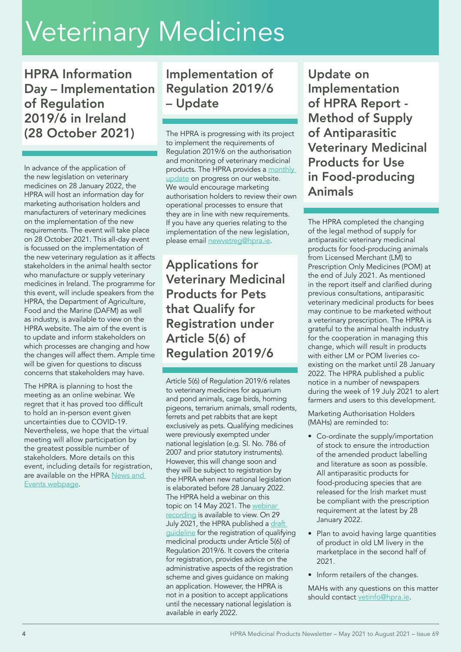# Veterinary Medicines

HPRA Information Day – Implementation of Regulation 2019/6 in Ireland (28 October 2021)

In advance of the application of the new legislation on veterinary medicines on 28 January 2022, the HPRA will host an information day for marketing authorisation holders and manufacturers of veterinary medicines on the implementation of the new requirements. The event will take place on 28 October 2021. This all-day event is focussed on the implementation of the new veterinary regulation as it affects stakeholders in the animal health sector who manufacture or supply veterinary medicines in Ireland. The programme for this event, will include speakers from the HPRA, the Department of Agriculture, Food and the Marine (DAFM) as well as industry, is available to view on the HPRA website. The aim of the event is to update and inform stakeholders on which processes are changing and how the changes will affect them. Ample time will be given for questions to discuss concerns that stakeholders may have.

The HPRA is planning to host the meeting as an online webinar. We regret that it has proved too difficult to hold an in-person event given uncertainties due to COVID-19. Nevertheless, we hope that the virtual meeting will allow participation by the greatest possible number of stakeholders. More details on this event, including details for registration, are available on the HPRA News and [Events webpage.](https://www.hpra.ie/homepage/about-us/news-and-events/item?t=/hpra-information-day-on-implementation-of-regulation-2019-6-in-ireland-virtual-event&id=f0351026-9782-6eee-9b55-ff00008c97d0)

# Implementation of Regulation 2019/6 – Update

The HPRA is progressing with its project to implement the requirements of Regulation 2019/6 on the authorisation and monitoring of veterinary medicinal products. The HPRA provides a monthly [update](https://www.hpra.ie/homepage/veterinary/regulatory-information/implementation-of-the-new-veterinary-regulation-(regulation-2019-6)/monthly-update) on progress on our website. We would encourage marketing authorisation holders to review their own operational processes to ensure that they are in line with new requirements. If you have any queries relating to the implementation of the new legislation, please email [newvetreg@hpra.ie.](mailto:newvetreg%40hpra.ie?subject=)

Applications for Veterinary Medicinal Products for Pets that Qualify for Registration under Article 5(6) of Regulation 2019/6

Article 5(6) of Regulation 2019/6 relates to veterinary medicines for aquarium and pond animals, cage birds, homing pigeons, terrarium animals, small rodents, ferrets and pet rabbits that are kept exclusively as pets. Qualifying medicines were previously exempted under national legislation (e.g. SI. No. 786 of 2007 and prior statutory instruments). However, this will change soon and they will be subject to registration by the HPRA when new national legislation is elaborated before 28 January 2022. The HPRA held a webinar on this topic on 14 May 2021. The [webinar](http://www.hpra.ie/homepage/veterinary/regulatory-information/implementation-of-the-new-veterinary-regulation-(regulation-2019-6)/webinar/requirements-for-veterinary-medicines-for-pets-that-qualify-for-registration-under-article-5(6)-of-the-new-veterinary-regulation)  [recording](http://www.hpra.ie/homepage/veterinary/regulatory-information/implementation-of-the-new-veterinary-regulation-(regulation-2019-6)/webinar/requirements-for-veterinary-medicines-for-pets-that-qualify-for-registration-under-article-5(6)-of-the-new-veterinary-regulation) is available to view. On 29 July 2021, the HPRA published a draft [guideline](https://www.hpra.ie/docs/default-source/default-document-library/draft-guide-to-registration-of-veterinary-medicinal-products-for-pets-that-qualify-for-registration-under-article-5(6)-of-regulation-20196.pdf?sfvrsn=2) for the registration of qualifying medicinal products under Article 5(6) of Regulation 2019/6. It covers the criteria for registration, provides advice on the administrative aspects of the registration scheme and gives guidance on making an application. However, the HPRA is not in a position to accept applications until the necessary national legislation is available in early 2022.

Update on Implementation of HPRA Report - Method of Supply of Antiparasitic Veterinary Medicinal Products for Use in Food-producing Animals

The HPRA completed the changing of the legal method of supply for antiparasitic veterinary medicinal products for food-producing animals from Licensed Merchant (LM) to Prescription Only Medicines (POM) at the end of July 2021. As mentioned in the report itself and clarified during previous consultations, antiparasitic veterinary medicinal products for bees may continue to be marketed without a veterinary prescription. The HPRA is grateful to the animal health industry for the cooperation in managing this change, which will result in products with either LM or POM liveries coexisting on the market until 28 January 2022. The HPRA published a public notice in a number of newspapers during the week of 19 July 2021 to alert farmers and users to this development.

Marketing Authorisation Holders (MAHs) are reminded to:

- Co-ordinate the supply/importation of stock to ensure the introduction of the amended product labelling and literature as soon as possible. All antiparasitic products for food-producing species that are released for the Irish market must be compliant with the prescription requirement at the latest by 28 January 2022.
- Plan to avoid having large quantities of product in old LM livery in the marketplace in the second half of 2021.
- Inform retailers of the changes.

MAHs with any questions on this matter should contact [vetinfo@hpra.ie.](mailto:vetinfo%40hpra.ie?subject=)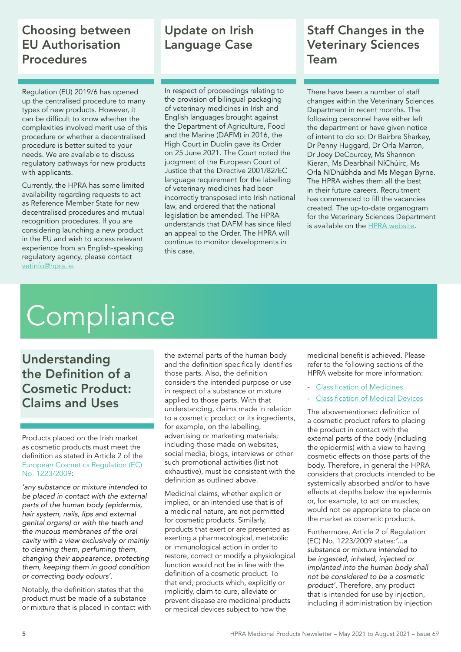# Choosing between EU Authorisation Procedures

Regulation (EU) 2019/6 has opened up the centralised procedure to many types of new products. However, it can be difficult to know whether the complexities involved merit use of this procedure or whether a decentralised procedure is better suited to your needs. We are available to discuss regulatory pathways for new products with applicants.

Currently, the HPRA has some limited availability regarding requests to act as Reference Member State for new decentralised procedures and mutual recognition procedures. If you are considering launching a new product in the EU and wish to access relevant experience from an English-speaking regulatory agency, please contact [vetinfo@hpra.ie](mailto:vetinfo%40hpra.ie?subject=).

# Update on Irish Language Case

In respect of proceedings relating to the provision of bilingual packaging of veterinary medicines in Irish and English languages brought against the Department of Agriculture, Food and the Marine (DAFM) in 2016, the High Court in Dublin gave its Order on 25 June 2021. The Court noted the judgment of the European Court of Justice that the Directive 2001/82/EC language requirement for the labelling of veterinary medicines had been incorrectly transposed into Irish national law, and ordered that the national legislation be amended. The HPRA understands that DAFM has since filed an appeal to the Order. The HPRA will continue to monitor developments in this case.

# Staff Changes in the Veterinary Sciences Team

There have been a number of staff changes within the Veterinary Sciences Department in recent months. The following personnel have either left the department or have given notice of intent to do so: Dr Bairbre Sharkey, Dr Penny Huggard, Dr Orla Marron, Dr Joey DeCourcey, Ms Shannon Kieran, Ms Dearbhail NíChúirc, Ms Orla NíDhúbhda and Ms Megan Byrne. The HPRA wishes them all the best in their future careers. Recruitment has commenced to fill the vacancies created. The up-to-date organogram for the Veterinary Sciences Department is available on the [HPRA website](http://www.hpra.ie/docs/default-source/default-document-library/vs-department-structure-v7.pdf).

# **Compliance**

Understanding the Definition of a Cosmetic Product: Claims and Uses

Products placed on the Irish market as cosmetic products must meet the definition as stated in Article 2 of the [European Cosmetics Regulation \(EC\)](https://ec.europa.eu/growth/sectors/cosmetics/legislation_en)  [No. 1223/2009](https://ec.europa.eu/growth/sectors/cosmetics/legislation_en):

*'any substance or mixture intended to be placed in contact with the external parts of the human body (epidermis, hair system, nails, lips and external genital organs) or with the teeth and the mucous membranes of the oral cavity with a view exclusively or mainly to cleaning them, perfuming them, changing their appearance, protecting them, keeping them in good condition or correcting body odours'.* 

Notably, the definition states that the product must be made of a substance or mixture that is placed in contact with the external parts of the human body and the definition specifically identifies those parts. Also, the definition considers the intended purpose or use in respect of a substance or mixture applied to those parts. With that understanding, claims made in relation to a cosmetic product or its ingredients, for example, on the labelling, advertising or marketing materials; including those made on websites, social media, blogs, interviews or other such promotional activities (list not exhaustive), must be consistent with the definition as outlined above.

Medicinal claims, whether explicit or implied, or an intended use that is of a medicinal nature, are not permitted for cosmetic products. Similarly, products that exert or are presented as exerting a pharmacological, metabolic or immunological action in order to restore, correct or modify a physiological function would not be in line with the definition of a cosmetic product. To that end, products which, explicitly or implicitly, claim to cure, alleviate or prevent disease are medicinal products or medical devices subject to how the

medicinal benefit is achieved. Please refer to the following sections of the HPRA website for more information:

- [Classification](http://www.hpra.ie/homepage/medicines/regulatory-information/classification-of-medicines) of Medicines
- **[Classification](http://www.hpra.ie/homepage/medical-devices/regulatory-information/classification) of Medical Devices**

The abovementioned definition of a cosmetic product refers to placing the product in contact with the external parts of the body (including the epidermis) with a view to having cosmetic effects on those parts of the body. Therefore, in general the HPRA considers that products intended to be systemically absorbed and/or to have effects at depths below the epidermis or, for example, to act on muscles, would not be appropriate to place on the market as cosmetic products.

Furthermore, Article 2 of Regulation (EC) No. 1223/2009 states:*'...a substance or mixture intended to be ingested, inhaled, injected or implanted into the human body shall not be considered to be a cosmetic product'.* Therefore, any product that is intended for use by injection, including if administration by injection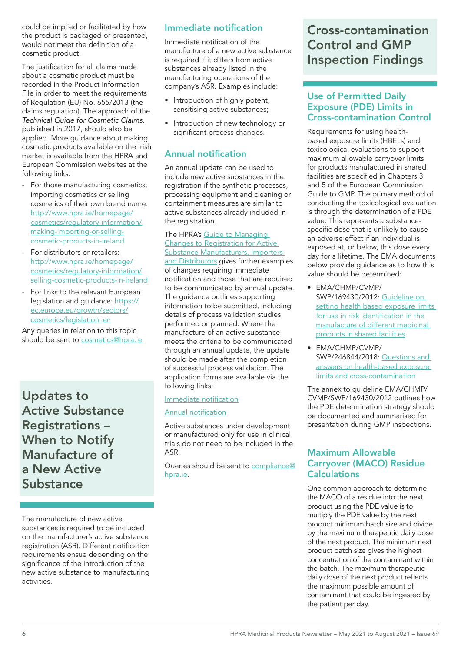could be implied or facilitated by how the product is packaged or presented, would not meet the definition of a cosmetic product.

The justification for all claims made about a cosmetic product must be recorded in the Product Information File in order to meet the requirements of Regulation (EU) No. 655/2013 (the claims regulation). The approach of the *Technical Guide for Cosmetic Claims,* published in 2017, should also be applied. More guidance about making cosmetic products available on the Irish market is available from the HPRA and European Commission websites at the following links:

- For those manufacturing cosmetics, importing cosmetics or selling cosmetics of their own brand name: [http://www.hpra.ie/homepage/](http://www.hpra.ie/homepage/cosmetics/regulatory-information/making-importing-or-selling-cosmetic-products-in-ireland) [cosmetics/regulatory-information/](http://www.hpra.ie/homepage/cosmetics/regulatory-information/making-importing-or-selling-cosmetic-products-in-ireland) [making-importing-or-selling](http://www.hpra.ie/homepage/cosmetics/regulatory-information/making-importing-or-selling-cosmetic-products-in-ireland)[cosmetic-products-in-ireland](http://www.hpra.ie/homepage/cosmetics/regulatory-information/making-importing-or-selling-cosmetic-products-in-ireland)
- For distributors or retailers: [http://www.hpra.ie/homepage/](http://www.hpra.ie/homepage/cosmetics/regulatory-information/selling-cosmetic-products-in-ireland) [cosmetics/regulatory-information/](http://www.hpra.ie/homepage/cosmetics/regulatory-information/selling-cosmetic-products-in-ireland) [selling-cosmetic-products-in-ireland](http://www.hpra.ie/homepage/cosmetics/regulatory-information/selling-cosmetic-products-in-ireland)
- For links to the relevant European legislation and guidance: [https://](https://ec.europa.eu/growth/sectors/cosmetics/legislation_en) [ec.europa.eu/growth/sectors/](https://ec.europa.eu/growth/sectors/cosmetics/legislation_en) [cosmetics/legislation\\_en](https://ec.europa.eu/growth/sectors/cosmetics/legislation_en)

Any queries in relation to this topic should be sent to [cosmetics@hpra.ie.](mailto:cosmetics%40hpra.ie?subject=)

Updates to Active Substance Registrations – When to Notify Manufacture of a New Active **Substance** 

### Immediate notification

Immediate notification of the manufacture of a new active substance is required if it differs from active substances already listed in the manufacturing operations of the company's ASR. Examples include:

- Introduction of highly potent, sensitising active substances;
- Introduction of new technology or significant process changes.

## Annual notification

An annual update can be used to include new active substances in the registration if the synthetic processes, processing equipment and cleaning or containment measures are similar to active substances already included in the registration.

#### The HPRA's [Guide to Managing](https://www.hpra.ie/docs/default-source/publications-forms/guidance-documents/aut-g0130-guide-to-managing-changes-to-registration-for-active-substance-manufacturers-importers-and-distributors-v1.pdf?sfvrsn=8)  [Changes to Registration for Active](https://www.hpra.ie/docs/default-source/publications-forms/guidance-documents/aut-g0130-guide-to-managing-changes-to-registration-for-active-substance-manufacturers-importers-and-distributors-v1.pdf?sfvrsn=8)  [Substance Manufacturers, Importers](https://www.hpra.ie/docs/default-source/publications-forms/guidance-documents/aut-g0130-guide-to-managing-changes-to-registration-for-active-substance-manufacturers-importers-and-distributors-v1.pdf?sfvrsn=8)  [and Distributors](https://www.hpra.ie/docs/default-source/publications-forms/guidance-documents/aut-g0130-guide-to-managing-changes-to-registration-for-active-substance-manufacturers-importers-and-distributors-v1.pdf?sfvrsn=8) gives further examples of changes requiring immediate notification and those that are required to be communicated by annual update. The guidance outlines supporting information to be submitted, including details of process validation studies performed or planned. Where the manufacture of an active substance meets the criteria to be communicated through an annual update, the update should be made after the completion of successful process validation. The application forms are available via the following links:

#### Immediate [notification](https://www.hpra.ie/homepage/about-us/publications-forms/forms-applications/item?id=d22f0126-9782-6eee-9b55-ff00008c97d0)

#### Annual [notification](https://www.hpra.ie/homepage/about-us/publications-forms/forms-applications/item?id=befefa25-9782-6eee-9b55-ff00008c97d0&t=/docs/default-source/publications-forms/forms-applications/aut-f0441-annual-update-to-registration-of-manufacturer-importer-or-distributor-of-active-substances-v3)

Active substances under development or manufactured only for use in clinical trials do not need to be included in the ASR.

Queries should be sent to [compliance@](mailto:compliance%40hpra.ie?subject=) [hpra.ie](mailto:compliance%40hpra.ie?subject=).

# Cross-contamination Control and GMP Inspection Findings

### Use of Permitted Daily Exposure (PDE) Limits in Cross-contamination Control

Requirements for using healthbased exposure limits (HBELs) and toxicological evaluations to support maximum allowable carryover limits for products manufactured in shared facilities are specified in Chapters 3 and 5 of the European Commission Guide to GMP. The primary method of conducting the toxicological evaluation is through the determination of a PDE value. This represents a substancespecific dose that is unlikely to cause an adverse effect if an individual is exposed at, or below, this dose every day for a lifetime. The EMA documents below provide guidance as to how this value should be determined:

- EMA/CHMP/CVMP/ SWP/169430/2012: [Guideline on](https://www.ema.europa.eu/en/documents/scientific-guideline/guideline-setting-health-based-exposure-limits-use-risk-identification-manufacture-different_en.pdf)  [setting health based exposure limits](https://www.ema.europa.eu/en/documents/scientific-guideline/guideline-setting-health-based-exposure-limits-use-risk-identification-manufacture-different_en.pdf)  for use in risk [identification](https://www.ema.europa.eu/en/documents/scientific-guideline/guideline-setting-health-based-exposure-limits-use-risk-identification-manufacture-different_en.pdf) in the [manufacture of different medicinal](https://www.ema.europa.eu/en/documents/scientific-guideline/guideline-setting-health-based-exposure-limits-use-risk-identification-manufacture-different_en.pdf)  [products in shared facilitie](https://www.ema.europa.eu/en/documents/scientific-guideline/guideline-setting-health-based-exposure-limits-use-risk-identification-manufacture-different_en.pdf)s
- EMA/CHMP/CVMP/ SWP/246844/2018: [Questions and](https://www.ema.europa.eu/en/documents/other/questions-answers-implementation-risk-based-prevention-cross-contamination-production-guideline_en.pdf)  [answers on health-based exposure](https://www.ema.europa.eu/en/documents/other/questions-answers-implementation-risk-based-prevention-cross-contamination-production-guideline_en.pdf)  [limits and cross-contamination](https://www.ema.europa.eu/en/documents/other/questions-answers-implementation-risk-based-prevention-cross-contamination-production-guideline_en.pdf)

The annex to guideline EMA/CHMP/ CVMP/SWP/169430/2012 outlines how the PDE determination strategy should be documented and summarised for presentation during GMP inspections.

#### Maximum Allowable Carryover (MACO) Residue **Calculations**

One common approach to determine the MACO of a residue into the next product using the PDE value is to multiply the PDE value by the next product minimum batch size and divide by the maximum therapeutic daily dose of the next product. The minimum next product batch size gives the highest concentration of the contaminant within the batch. The maximum therapeutic daily dose of the next product reflects the maximum possible amount of contaminant that could be ingested by the patient per day.

The manufacture of new active substances is required to be included on the manufacturer's active substance registration (ASR). Different notification requirements ensue depending on the significance of the introduction of the new active substance to manufacturing activities.